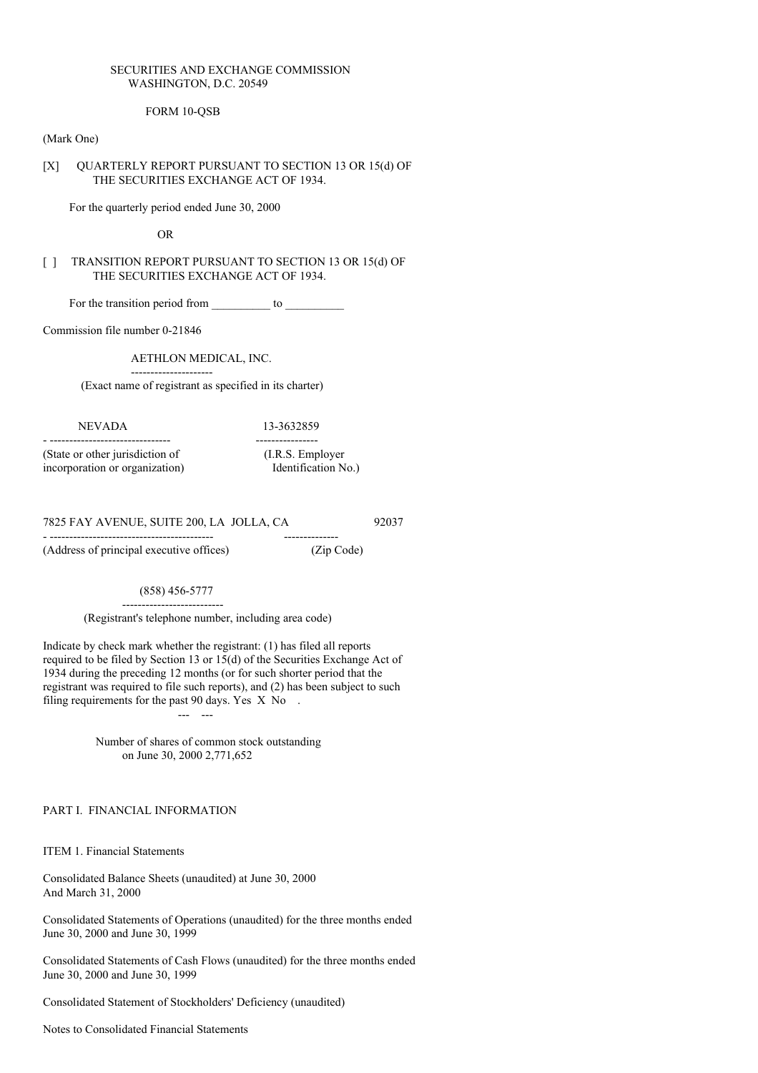# SECURITIES AND EXCHANGE COMMISSION WASHINGTON, D.C. 20549

# FORM 10-QSB

#### (Mark One)

### [X] QUARTERLY REPORT PURSUANT TO SECTION 13 OR 15(d) OF THE SECURITIES EXCHANGE ACT OF 1934.

For the quarterly period ended June 30, 2000

OR

# [ ] TRANSITION REPORT PURSUANT TO SECTION 13 OR 15(d) OF THE SECURITIES EXCHANGE ACT OF 1934.

For the transition period from \_\_\_\_\_\_\_\_\_\_ to \_\_\_\_\_\_\_\_\_\_

Commission file number 0-21846

AETHLON MEDICAL, INC.

---------------------

(Exact name of registrant as specified in its charter)

NEVADA 13-3632859 - ------------------------------- ---------------- (State or other jurisdiction of (I.R.S. Employer incorporation or organization) Identification No.)

7825 FAY AVENUE, SUITE 200, LA JOLLA, CA 92037 - ------------------------------------------ --------------

(Address of principal executive offices) (Zip Code)

(858) 456-5777 --------------------------

(Registrant's telephone number, including area code)

Indicate by check mark whether the registrant: (1) has filed all reports required to be filed by Section 13 or 15(d) of the Securities Exchange Act of 1934 during the preceding 12 months (or for such shorter period that the registrant was required to file such reports), and (2) has been subject to such filing requirements for the past 90 days. Yes X No.

> Number of shares of common stock outstanding on June 30, 2000 2,771,652

--- ---

PART I. FINANCIAL INFORMATION

ITEM 1. Financial Statements

Consolidated Balance Sheets (unaudited) at June 30, 2000 And March 31, 2000

Consolidated Statements of Operations (unaudited) for the three months ended June 30, 2000 and June 30, 1999

Consolidated Statements of Cash Flows (unaudited) for the three months ended June 30, 2000 and June 30, 1999

Consolidated Statement of Stockholders' Deficiency (unaudited)

Notes to Consolidated Financial Statements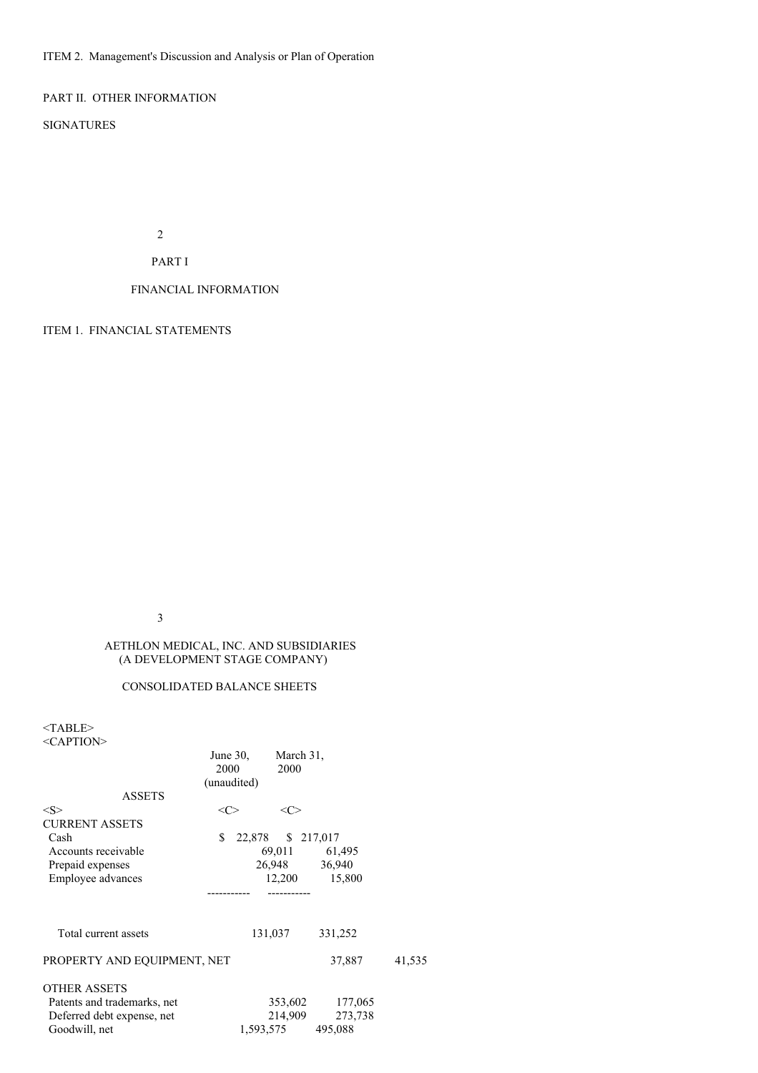ITEM 2. Management's Discussion and Analysis or Plan of Operation

PART II. OTHER INFORMATION

SIGNATURES

2

# PART I

# FINANCIAL INFORMATION

ITEM 1. FINANCIAL STATEMENTS

3

# AETHLON MEDICAL, INC. AND SUBSIDIARIES (A DEVELOPMENT STAGE COMPANY)

## CONSOLIDATED BALANCE SHEETS

 $<$  TABLE>  $\,$ 

| $<$ CAPTION $>$ |  |
|-----------------|--|
|-----------------|--|

|                             |      | June $30$ , |         | March 31,          |        |
|-----------------------------|------|-------------|---------|--------------------|--------|
|                             | 2000 |             | 2000    |                    |        |
|                             |      | (unaudited) |         |                    |        |
| <b>ASSETS</b>               |      |             |         |                    |        |
| $<\!\!S\!\!>$               | <<>  |             | <<      |                    |        |
| <b>CURRENT ASSETS</b>       |      |             |         |                    |        |
| Cash                        | \$   |             |         | 22,878 \$ 217,017  |        |
| Accounts receivable         |      |             |         | 69,011 61,495      |        |
| Prepaid expenses            |      |             |         | 26,948 36,940      |        |
| Employee advances           |      |             |         | 12,200<br>15,800   |        |
|                             |      |             |         |                    |        |
| Total current assets        |      |             | 131,037 | 331,252            |        |
| PROPERTY AND EQUIPMENT, NET |      |             |         | 37,887             | 41,535 |
| <b>OTHER ASSETS</b>         |      |             |         |                    |        |
| Patents and trademarks, net |      |             |         | 353,602<br>177,065 |        |
| Deferred debt expense, net  |      |             |         | 214,909<br>273,738 |        |
| Goodwill, net               |      |             |         | 1,593,575 495,088  |        |
|                             |      |             |         |                    |        |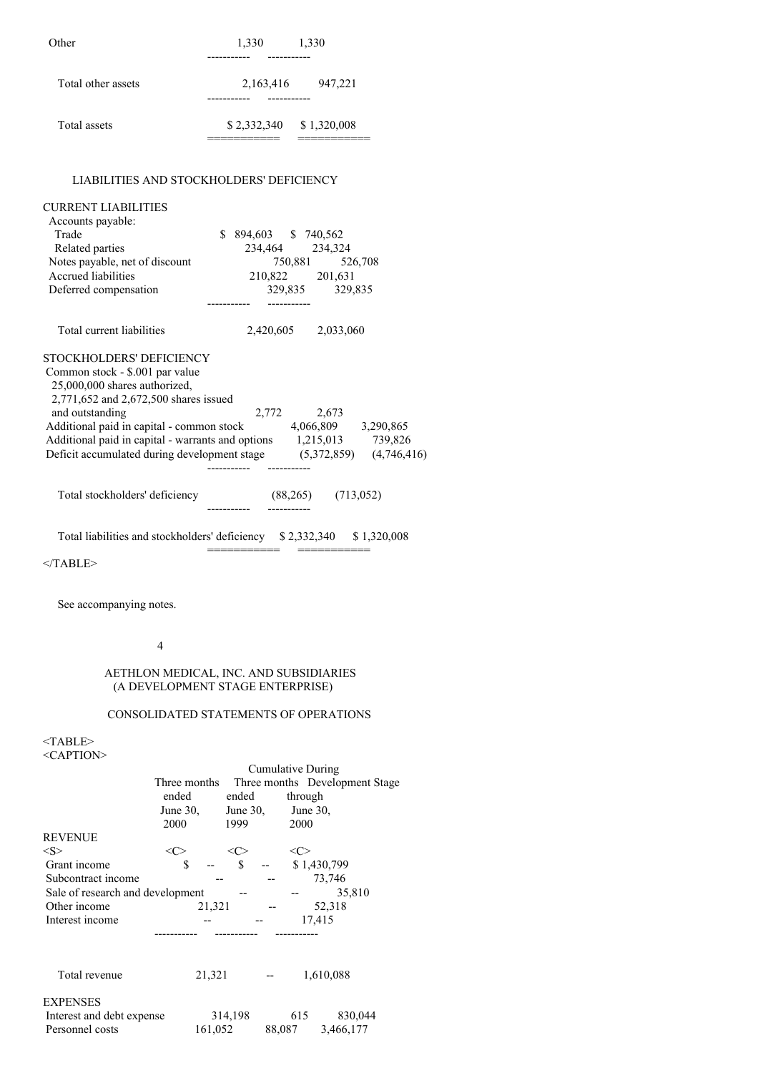| Other              | 1,330                                | 1,330       |
|--------------------|--------------------------------------|-------------|
| Total other assets | 2,163,416<br>---------<br>---------- | 947,221     |
| Total assets       | \$2,332,340                          | \$1,320,008 |

## LIABILITIES AND STOCKHOLDERS' DEFICIENCY

| <b>CURRENT LIABILITIES</b><br>Accounts payable:<br>Trade<br>Related parties<br>Notes payable, net of discount<br>Accrued liabilities<br>Deferred compensation                                                                                                                                                                                               | \$894,603 \$740,562 |             | 234,464 234,324<br>750,881 526,708<br>210,822 201,631<br>329,835 329,835 |                     |
|-------------------------------------------------------------------------------------------------------------------------------------------------------------------------------------------------------------------------------------------------------------------------------------------------------------------------------------------------------------|---------------------|-------------|--------------------------------------------------------------------------|---------------------|
| Total current liabilities                                                                                                                                                                                                                                                                                                                                   |                     |             | 2,420,605 2,033,060                                                      |                     |
| <b>STOCKHOLDERS' DEFICIENCY</b><br>Common stock - \$.001 par value<br>25,000,000 shares authorized,<br>2,771,652 and 2,672,500 shares issued<br>and outstanding<br>Additional paid in capital - common stock<br>Additional paid in capital - warrants and options 1,215,013 739,826<br>Deficit accumulated during development stage (5,372,859) (4,746,416) |                     | 2,772 2,673 |                                                                          | 4,066,809 3,290,865 |
| Total stockholders' deficiency                                                                                                                                                                                                                                                                                                                              |                     |             | $(88,265)$ $(713,052)$                                                   |                     |

Total liabilities and stockholders' deficiency \$ 2,332,340 \$ 1,320,008 =========== ===========

 $<$ /TABLE>

See accompanying notes.

# 4

# AETHLON MEDICAL, INC. AND SUBSIDIARIES (A DEVELOPMENT STAGE ENTERPRISE)

# CONSOLIDATED STATEMENTS OF OPERATIONS

<TABLE> <CAPTION>

|                                  |              |             | Cumulative During |                                |
|----------------------------------|--------------|-------------|-------------------|--------------------------------|
|                                  | Three months |             |                   | Three months Development Stage |
|                                  | ended        | ended       | through           |                                |
|                                  | June $30$ ,  | June $30$ . | June $30$ ,       |                                |
|                                  | 2000         | 1999        | 2000              |                                |
| <b>REVENUE</b>                   |              |             |                   |                                |
| $<\!\!S\!\!>$                    | <c></c>      | <c></c>     | <c></c>           |                                |
| Grant income                     | \$           | \$          | \$1,430,799       |                                |
| Subcontract income               |              |             | 73,746            |                                |
| Sale of research and development |              |             |                   | 35,810                         |
| Other income                     | 21,321       |             | 52,318            |                                |
| Interest income                  |              |             | 17,415            |                                |
|                                  |              |             |                   |                                |
|                                  |              |             |                   |                                |
|                                  |              |             |                   |                                |
| Total revenue                    | 21,321       |             | 1,610,088         |                                |
|                                  |              |             |                   |                                |
| <b>EXPENSES</b>                  |              |             |                   |                                |
| Interest and debt expense        |              | 314,198     | 615               | 830,044                        |
| Personnel costs                  | 161,052      |             | 88,087            | 3,466,177                      |
|                                  |              |             |                   |                                |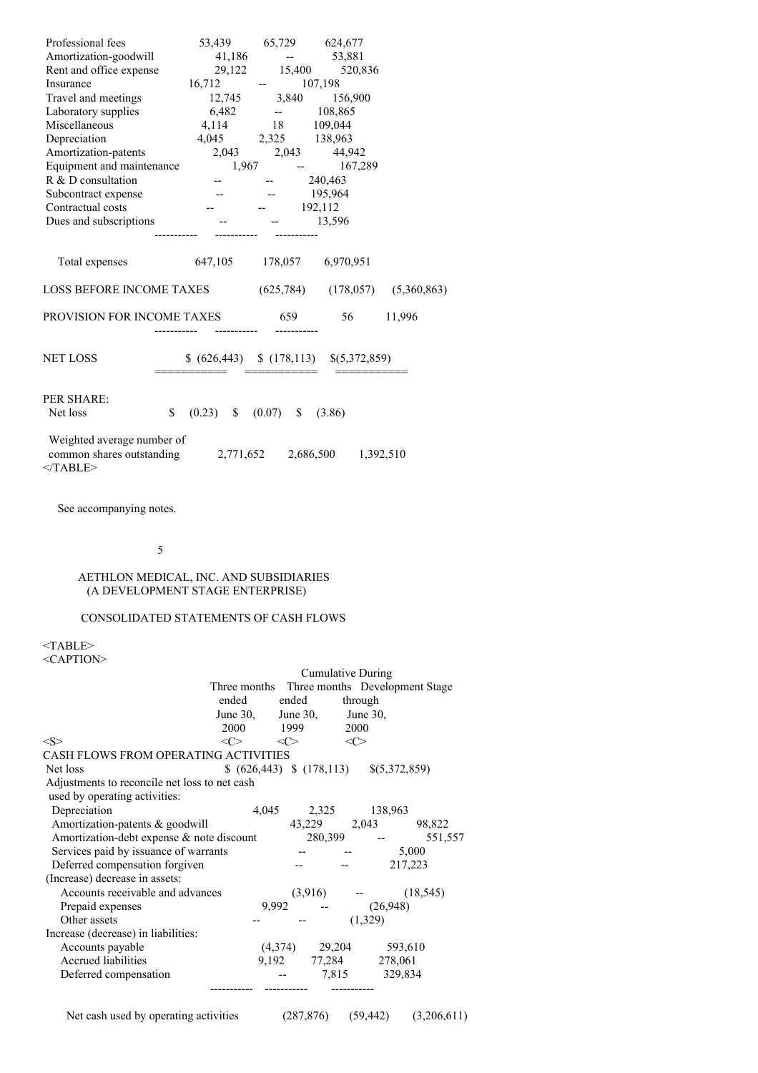| Professional fees                                                     |                                         | 53,439 65,729 624,677   |                                       |                                       |
|-----------------------------------------------------------------------|-----------------------------------------|-------------------------|---------------------------------------|---------------------------------------|
| Amortization-goodwill                                                 |                                         | 41,186 -- 53,881        |                                       |                                       |
| Rent and office expense                                               |                                         |                         | 29,122 15,400 520,836                 |                                       |
| Insurance                                                             | $16,712$ - $107,198$                    |                         |                                       |                                       |
| Travel and meetings 12,745 3,840 156,900                              |                                         |                         |                                       |                                       |
| Laboratory supplies                                                   | $6,482$ - $108,865$<br>4,114 18 109,044 |                         |                                       |                                       |
| Miscellaneous                                                         |                                         |                         |                                       |                                       |
| Depreciation                                                          | 4,045 2,325 138,963                     |                         |                                       |                                       |
| Amortization-patents                                                  |                                         | 2,043 2,043 44,942      |                                       |                                       |
| Equipment and maintenance 1,967                                       |                                         |                         | $-167,289$                            |                                       |
| R & D consultation                                                    |                                         | $-240,463$              |                                       |                                       |
| Subcontract expense                                                   | $  195,964$                             |                         |                                       |                                       |
| Contractual costs                                                     | $  192,112$                             |                         |                                       |                                       |
| Dues and subscriptions -- - - 13,596                                  |                                         |                         |                                       |                                       |
| Total expenses                                                        | 647,105 178,057 6,970,951               |                         |                                       |                                       |
| LOSS BEFORE INCOME TAXES                                              |                                         |                         |                                       | $(625,784)$ $(178,057)$ $(5,360,863)$ |
| PROVISION FOR INCOME TAXES                                            |                                         | 659                     | 56 — 100                              | 11,996                                |
| <b>NET LOSS</b>                                                       |                                         |                         | $(626,443)$ $(178,113)$ $(5,372,859)$ |                                       |
| <b>PER SHARE:</b><br>\$<br>Net loss                                   |                                         | $(0.23)$ \$ $(0.07)$ \$ | (3.86)                                |                                       |
| Weighted average number of<br>common shares outstanding<br>$<$ TABLE> |                                         |                         | 2,771,652 2,686,500 1,392,510         |                                       |

See accompanying notes.

# 5

# AETHLON MEDICAL, INC. AND SUBSIDIARIES (A DEVELOPMENT STAGE ENTERPRISE)

# CONSOLIDATED STATEMENTS OF CASH FLOWS

<TABLE> <CAPTION>

|                                               |                     |             | Cumulative During |                                             |           |
|-----------------------------------------------|---------------------|-------------|-------------------|---------------------------------------------|-----------|
|                                               | Three months        |             |                   | Three months Development Stage              |           |
|                                               | ended               | ended       |                   | through                                     |           |
|                                               | June $30$ ,         | June $30$ , |                   | June 30,                                    |           |
|                                               | 2000                | 1999        |                   | 2000                                        |           |
| <s></s>                                       | $\langle C \rangle$ | <<>         |                   | $<\!\!C\!\!>$                               |           |
| CASH FLOWS FROM OPERATING ACTIVITIES          |                     |             |                   |                                             |           |
| Net loss                                      |                     |             |                   | $(626,443)$ \; $(178,113)$ \; $(5,372,859)$ |           |
| Adjustments to reconcile net loss to net cash |                     |             |                   |                                             |           |
| used by operating activities:                 |                     |             |                   |                                             |           |
| Depreciation                                  | 4,045               |             | 2,325             | 138,963                                     |           |
| Amortization-patents & goodwill               |                     |             | 43,229 2,043      |                                             | 98,822    |
| Amortization-debt expense & note discount     |                     |             | 280,399           |                                             | 551,557   |
| Services paid by issuance of warrants         |                     |             |                   |                                             | 5,000     |
| Deferred compensation forgiven                |                     |             |                   |                                             | 217,223   |
| (Increase) decrease in assets:                |                     |             |                   |                                             |           |
| Accounts receivable and advances              |                     |             | (3,916)           |                                             | (18, 545) |
| Prepaid expenses                              |                     | 9,992       |                   | (26,948)                                    |           |
| Other assets                                  |                     |             |                   | (1,329)                                     |           |
| Increase (decrease) in liabilities:           |                     |             |                   |                                             |           |
| Accounts payable                              |                     |             | $(4,374)$ 29,204  |                                             | 593,610   |
| Accrued liabilities                           |                     | 9,192       |                   | 77,284 278,061                              |           |
| Deferred compensation                         |                     |             |                   | 7,815 329,834                               |           |
|                                               |                     |             |                   |                                             |           |
|                                               |                     |             |                   |                                             |           |

# Net cash used by operating activities (287,876) (59,442) (3,206,611)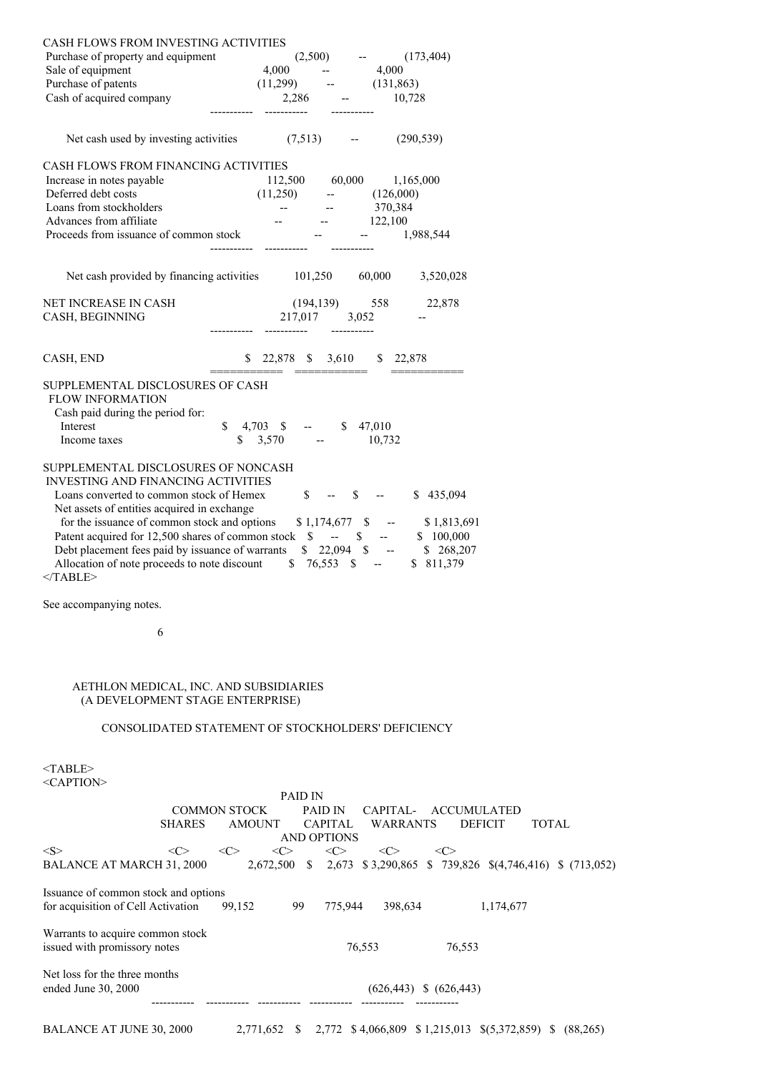| CASH FLOWS FROM INVESTING ACTIVITIES                                                  |                                                                                                                                                                                                                                   |
|---------------------------------------------------------------------------------------|-----------------------------------------------------------------------------------------------------------------------------------------------------------------------------------------------------------------------------------|
| Purchase of property and equipment<br>Sale of equipment                               | (2,500)<br>(173, 404)<br><b>ARCHITECT</b><br>4,000<br>4,000<br>$\overline{\phantom{a}}$                                                                                                                                           |
| Purchase of patents                                                                   | $(11,299)$ -- $(131,863)$                                                                                                                                                                                                         |
| Cash of acquired company                                                              | $2,286$ --<br>10,728                                                                                                                                                                                                              |
| Net cash used by investing activities $(7,513)$                                       | (290, 539)<br>$\overline{\phantom{a}}$                                                                                                                                                                                            |
| CASH FLOWS FROM FINANCING ACTIVITIES<br>Increase in notes payable                     |                                                                                                                                                                                                                                   |
| Deferred debt costs                                                                   | 112,500 60,000 1,165,000<br>(11,250)                                                                                                                                                                                              |
| Loans from stockholders                                                               | $ (126,000)$<br>$ 370,384$<br><b>Contract Contract</b>                                                                                                                                                                            |
| Advances from affiliate<br>Proceeds from issuance of common stock                     | and the state of the state of the<br>122,100<br>1,988,544                                                                                                                                                                         |
| Net cash provided by financing activities 101,250 60,000                              | 3,520,028                                                                                                                                                                                                                         |
|                                                                                       |                                                                                                                                                                                                                                   |
| NET INCREASE IN CASH<br>CASH, BEGINNING                                               | $(194, 139)$ 558 22,878<br>217,017 3,052                                                                                                                                                                                          |
| CASH, END                                                                             | $$22,878$ \$ 3,610 \$ 22,878                                                                                                                                                                                                      |
| SUPPLEMENTAL DISCLOSURES OF CASH                                                      | ----------  -------------                                                                                                                                                                                                         |
| <b>FLOW INFORMATION</b><br>Cash paid during the period for:                           |                                                                                                                                                                                                                                   |
| Interest<br>\$                                                                        | $4,703$ \$ --<br>\$47,010                                                                                                                                                                                                         |
| Income taxes                                                                          | $\frac{1}{2}$ 3,570 --<br>10,732                                                                                                                                                                                                  |
| SUPPLEMENTAL DISCLOSURES OF NONCASH                                                   |                                                                                                                                                                                                                                   |
| <b>INVESTING AND FINANCING ACTIVITIES</b><br>Loans converted to common stock of Hemex |                                                                                                                                                                                                                                   |
| Net assets of entities acquired in exchange                                           | $\mathbb{S}$ --<br>\$435,094<br>\$                                                                                                                                                                                                |
|                                                                                       |                                                                                                                                                                                                                                   |
|                                                                                       | for the issuance of common stock and options $$1,174,677$ $$$ -- $$1,813,691$<br>Patent acquired for 12,500 shares of common stock $$$ -- $$$ -- $$$ 100,000<br>Debt placement fees paid by issuance of warrants $$22,094$ $$$ -- |
| Allocation of note proceeds to note discount                                          | $$76,553$ \$ --<br>\$ 811,379                                                                                                                                                                                                     |
| $<$ /TABLE>                                                                           |                                                                                                                                                                                                                                   |
| See accompanying notes.                                                               |                                                                                                                                                                                                                                   |
| 6                                                                                     |                                                                                                                                                                                                                                   |
| AETHLON MEDICAL, INC. AND SUBSIDIARIES                                                |                                                                                                                                                                                                                                   |
| (A DEVELOPMENT STAGE ENTERPRISE)                                                      |                                                                                                                                                                                                                                   |
|                                                                                       | CONSOLIDATED STATEMENT OF STOCKHOLDERS' DEFICIENCY                                                                                                                                                                                |
| $<$ TABLE><br><caption></caption>                                                     |                                                                                                                                                                                                                                   |
|                                                                                       | PAID IN                                                                                                                                                                                                                           |
| <b>COMMON STOCK</b><br><b>SHARES</b>                                                  | PAID IN<br>CAPITAL-<br><b>ACCUMULATED</b><br><b>AMOUNT</b><br>CAPITAL<br><b>WARRANTS</b><br><b>DEFICIT</b><br><b>TOTAL</b>                                                                                                        |
| <s><br/><math>&lt;\infty</math><br/><math>&lt;\infty</math></s>                       | <b>AND OPTIONS</b><br>$\langle C \rangle$<br>$\langle C \rangle$<br>$\langle C \rangle$<br>$\langle C \rangle$                                                                                                                    |
| <b>BALANCE AT MARCH 31, 2000</b>                                                      | 2,672,500 \$ 2,673 \$3,290,865 \$ 739,826 \$(4,746,416) \$ (713,052)                                                                                                                                                              |
| Issuance of common stock and options<br>for acquisition of Cell Activation            | 99,152<br>99<br>775,944<br>398,634<br>1,174,677                                                                                                                                                                                   |
| Warrants to acquire common stock<br>issued with promissory notes                      | 76,553<br>76,553                                                                                                                                                                                                                  |
| Net loss for the three months                                                         |                                                                                                                                                                                                                                   |
| ended June 30, 2000                                                                   | $(626,443)$ \$ $(626,443)$                                                                                                                                                                                                        |
|                                                                                       |                                                                                                                                                                                                                                   |

BALANCE AT JUNE 30, 2000 2,771,652 \$ 2,772 \$ 4,066,809 \$ 1,215,013 \$(5,372,859) \$ (88,265)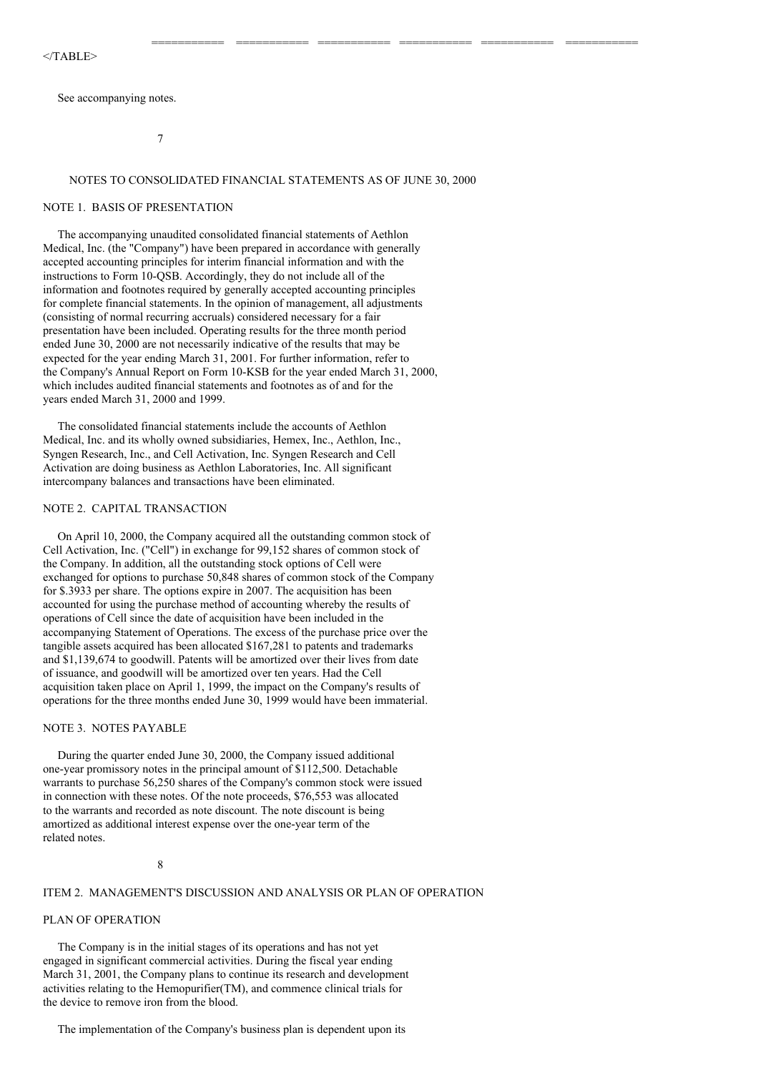#### $<$ /TABLE>

See accompanying notes.

7

#### NOTES TO CONSOLIDATED FINANCIAL STATEMENTS AS OF JUNE 30, 2000

=========== =========== =========== =========== =========== ===========

#### NOTE 1. BASIS OF PRESENTATION

The accompanying unaudited consolidated financial statements of Aethlon Medical, Inc. (the "Company") have been prepared in accordance with generally accepted accounting principles for interim financial information and with the instructions to Form 10-QSB. Accordingly, they do not include all of the information and footnotes required by generally accepted accounting principles for complete financial statements. In the opinion of management, all adjustments (consisting of normal recurring accruals) considered necessary for a fair presentation have been included. Operating results for the three month period ended June 30, 2000 are not necessarily indicative of the results that may be expected for the year ending March 31, 2001. For further information, refer to the Company's Annual Report on Form 10-KSB for the year ended March 31, 2000, which includes audited financial statements and footnotes as of and for the years ended March 31, 2000 and 1999.

The consolidated financial statements include the accounts of Aethlon Medical, Inc. and its wholly owned subsidiaries, Hemex, Inc., Aethlon, Inc., Syngen Research, Inc., and Cell Activation, Inc. Syngen Research and Cell Activation are doing business as Aethlon Laboratories, Inc. All significant intercompany balances and transactions have been eliminated.

## NOTE 2. CAPITAL TRANSACTION

On April 10, 2000, the Company acquired all the outstanding common stock of Cell Activation, Inc. ("Cell") in exchange for 99,152 shares of common stock of the Company. In addition, all the outstanding stock options of Cell were exchanged for options to purchase 50,848 shares of common stock of the Company for \$.3933 per share. The options expire in 2007. The acquisition has been accounted for using the purchase method of accounting whereby the results of operations of Cell since the date of acquisition have been included in the accompanying Statement of Operations. The excess of the purchase price over the tangible assets acquired has been allocated \$167,281 to patents and trademarks and \$1,139,674 to goodwill. Patents will be amortized over their lives from date of issuance, and goodwill will be amortized over ten years. Had the Cell acquisition taken place on April 1, 1999, the impact on the Company's results of operations for the three months ended June 30, 1999 would have been immaterial.

#### NOTE 3. NOTES PAYABLE

During the quarter ended June 30, 2000, the Company issued additional one-year promissory notes in the principal amount of \$112,500. Detachable warrants to purchase 56,250 shares of the Company's common stock were issued in connection with these notes. Of the note proceeds, \$76,553 was allocated to the warrants and recorded as note discount. The note discount is being amortized as additional interest expense over the one-year term of the related notes.

8

# ITEM 2. MANAGEMENT'S DISCUSSION AND ANALYSIS OR PLAN OF OPERATION

## PLAN OF OPERATION

The Company is in the initial stages of its operations and has not yet engaged in significant commercial activities. During the fiscal year ending March 31, 2001, the Company plans to continue its research and development activities relating to the Hemopurifier(TM), and commence clinical trials for the device to remove iron from the blood.

The implementation of the Company's business plan is dependent upon its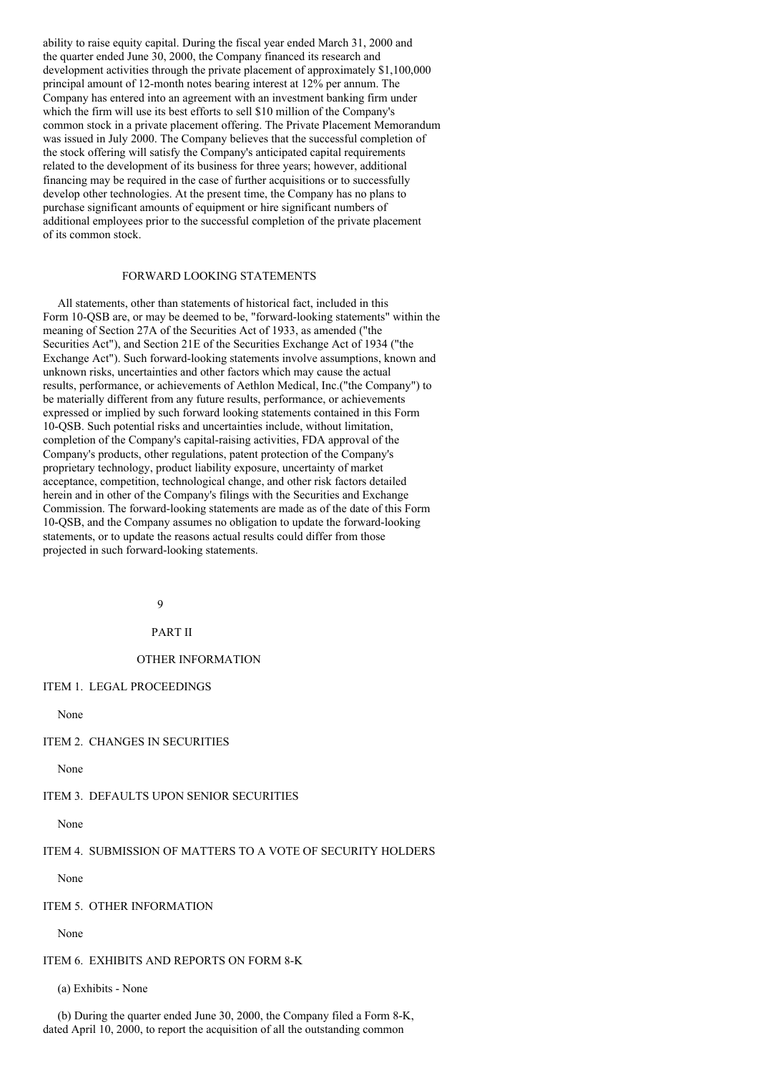ability to raise equity capital. During the fiscal year ended March 31, 2000 and the quarter ended June 30, 2000, the Company financed its research and development activities through the private placement of approximately \$1,100,000 principal amount of 12-month notes bearing interest at 12% per annum. The Company has entered into an agreement with an investment banking firm under which the firm will use its best efforts to sell \$10 million of the Company's common stock in a private placement offering. The Private Placement Memorandum was issued in July 2000. The Company believes that the successful completion of the stock offering will satisfy the Company's anticipated capital requirements related to the development of its business for three years; however, additional financing may be required in the case of further acquisitions or to successfully develop other technologies. At the present time, the Company has no plans to purchase significant amounts of equipment or hire significant numbers of additional employees prior to the successful completion of the private placement of its common stock.

## FORWARD LOOKING STATEMENTS

All statements, other than statements of historical fact, included in this Form 10-QSB are, or may be deemed to be, "forward-looking statements" within the meaning of Section 27A of the Securities Act of 1933, as amended ("the Securities Act"), and Section 21E of the Securities Exchange Act of 1934 ("the Exchange Act"). Such forward-looking statements involve assumptions, known and unknown risks, uncertainties and other factors which may cause the actual results, performance, or achievements of Aethlon Medical, Inc.("the Company") to be materially different from any future results, performance, or achievements expressed or implied by such forward looking statements contained in this Form 10-QSB. Such potential risks and uncertainties include, without limitation, completion of the Company's capital-raising activities, FDA approval of the Company's products, other regulations, patent protection of the Company's proprietary technology, product liability exposure, uncertainty of market acceptance, competition, technological change, and other risk factors detailed herein and in other of the Company's filings with the Securities and Exchange Commission. The forward-looking statements are made as of the date of this Form 10-QSB, and the Company assumes no obligation to update the forward-looking statements, or to update the reasons actual results could differ from those projected in such forward-looking statements.

**Q** 

# PART II

## OTHER INFORMATION

#### ITEM 1. LEGAL PROCEEDINGS

None

#### ITEM 2. CHANGES IN SECURITIES

None

#### ITEM 3. DEFAULTS UPON SENIOR SECURITIES

None

# ITEM 4. SUBMISSION OF MATTERS TO A VOTE OF SECURITY HOLDERS

None

# ITEM 5. OTHER INFORMATION

None

# ITEM 6. EXHIBITS AND REPORTS ON FORM 8-K

(a) Exhibits - None

(b) During the quarter ended June 30, 2000, the Company filed a Form 8-K, dated April 10, 2000, to report the acquisition of all the outstanding common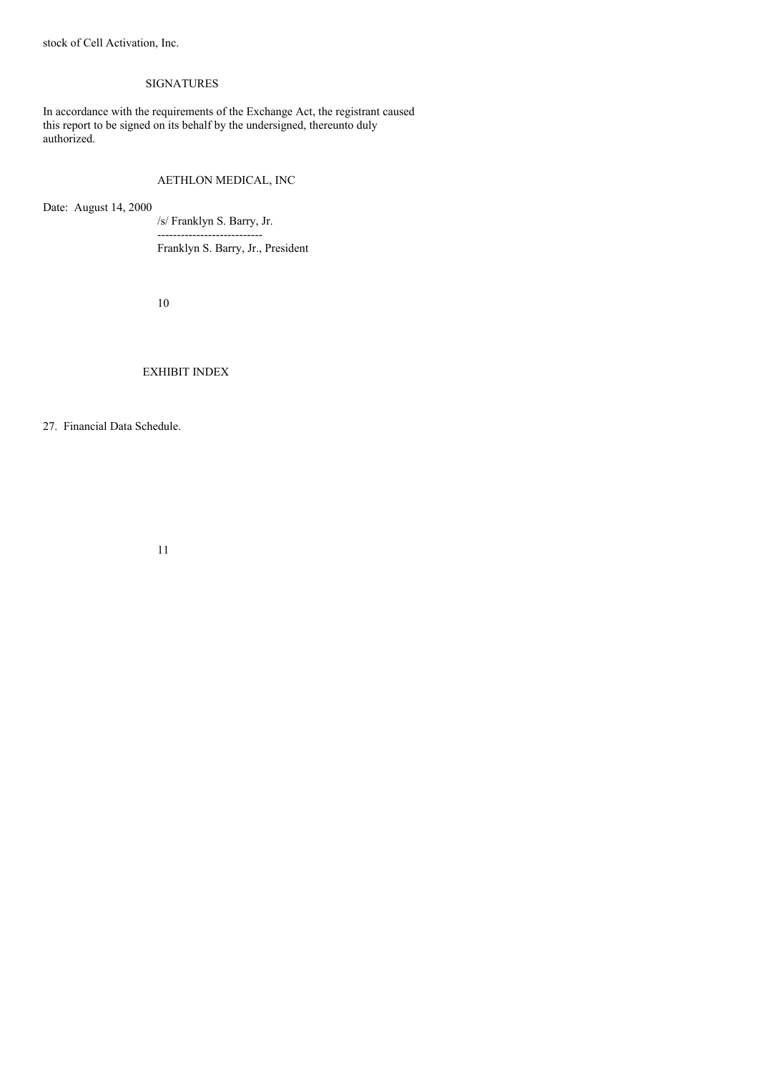stock of Cell Activation, Inc.

# SIGNATURES

In accordance with the requirements of the Exchange Act, the registrant caused this report to be signed on its behalf by the undersigned, thereunto duly authorized.

# AETHLON MEDICAL, INC

Date: August 14, 2000

/s/ Franklyn S. Barry, Jr. ---------------------------

Franklyn S. Barry, Jr., President

10

# EXHIBIT INDEX

27. Financial Data Schedule.

11